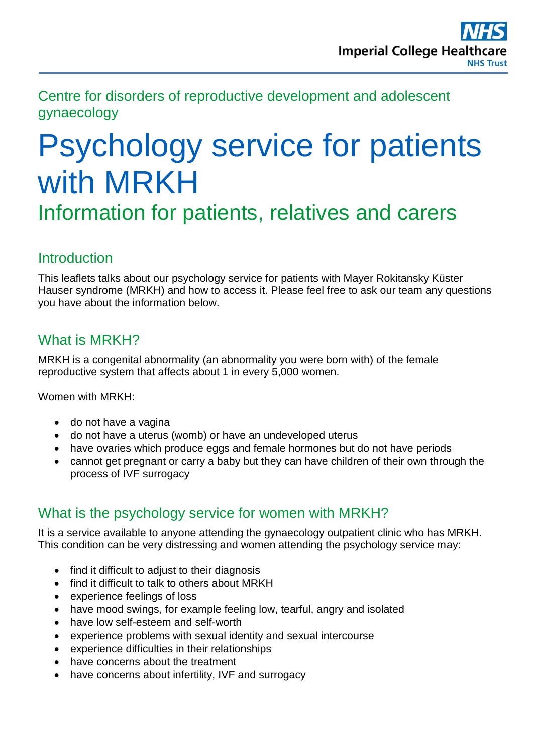Centre for disorders of reproductive development and adolescent gynaecology

# Psychology service for patients with MRKH

Information for patients, relatives and carers

#### **Introduction**

This leaflets talks about our psychology service for patients with Mayer Rokitansky Küster Hauser syndrome (MRKH) and how to access it. Please feel free to ask our team any questions you have about the information below.

## What is MRKH?

MRKH is a congenital abnormality (an abnormality you were born with) of the female reproductive system that affects about 1 in every 5,000 women.

Women with MRKH:

- do not have a vagina
- do not have a uterus (womb) or have an undeveloped uterus
- have ovaries which produce eggs and female hormones but do not have periods
- cannot get pregnant or carry a baby but they can have children of their own through the process of IVF surrogacy

#### What is the psychology service for women with MRKH?

It is a service available to anyone attending the gynaecology outpatient clinic who has MRKH. This condition can be very distressing and women attending the psychology service may:

- find it difficult to adjust to their diagnosis
- find it difficult to talk to others about MRKH
- experience feelings of loss
- have mood swings, for example feeling low, tearful, angry and isolated
- have low self-esteem and self-worth
- experience problems with sexual identity and sexual intercourse
- experience difficulties in their relationships
- have concerns about the treatment
- have concerns about infertility, IVF and surrogacy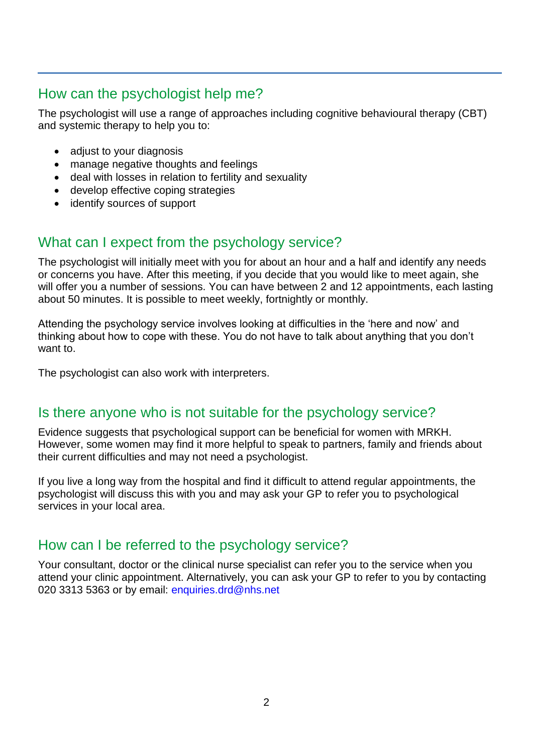## How can the psychologist help me?

The psychologist will use a range of approaches including cognitive behavioural therapy (CBT) and systemic therapy to help you to:

- adjust to your diagnosis
- manage negative thoughts and feelings
- deal with losses in relation to fertility and sexuality
- develop effective coping strategies
- identify sources of support

#### What can I expect from the psychology service?

The psychologist will initially meet with you for about an hour and a half and identify any needs or concerns you have. After this meeting, if you decide that you would like to meet again, she will offer you a number of sessions. You can have between 2 and 12 appointments, each lasting about 50 minutes. It is possible to meet weekly, fortnightly or monthly.

Attending the psychology service involves looking at difficulties in the 'here and now' and thinking about how to cope with these. You do not have to talk about anything that you don't want to.

The psychologist can also work with interpreters.

#### Is there anyone who is not suitable for the psychology service?

Evidence suggests that psychological support can be beneficial for women with MRKH. However, some women may find it more helpful to speak to partners, family and friends about their current difficulties and may not need a psychologist.

If you live a long way from the hospital and find it difficult to attend regular appointments, the psychologist will discuss this with you and may ask your GP to refer you to psychological services in your local area.

#### How can I be referred to the psychology service?

Your consultant, doctor or the clinical nurse specialist can refer you to the service when you attend your clinic appointment. Alternatively, you can ask your GP to refer to you by contacting 020 3313 5363 or by email: [enquiries.drd@nhs.net](mailto:enquiries.drd@nhs.net)